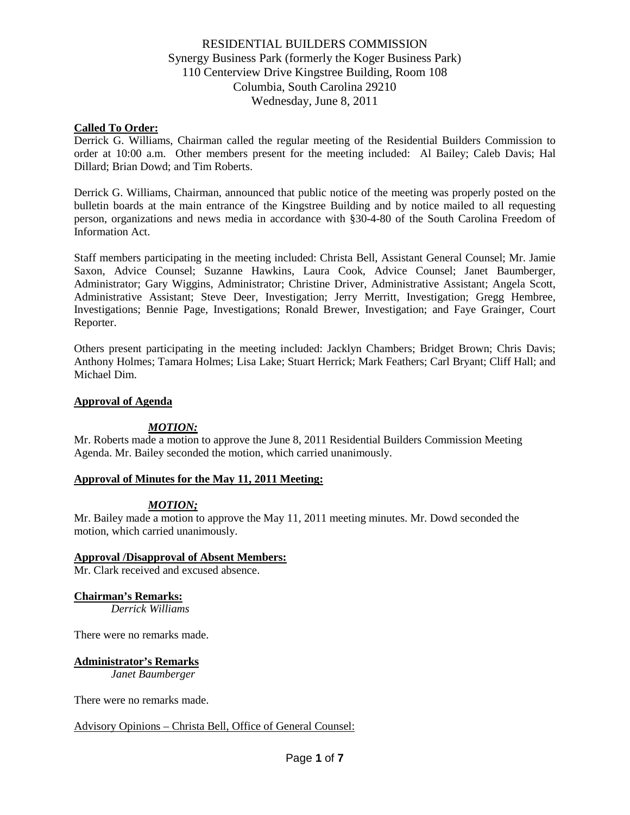### **Called To Order:**

Derrick G. Williams, Chairman called the regular meeting of the Residential Builders Commission to order at 10:00 a.m. Other members present for the meeting included: Al Bailey; Caleb Davis; Hal Dillard; Brian Dowd; and Tim Roberts.

Derrick G. Williams, Chairman, announced that public notice of the meeting was properly posted on the bulletin boards at the main entrance of the Kingstree Building and by notice mailed to all requesting person, organizations and news media in accordance with §30-4-80 of the South Carolina Freedom of Information Act.

Staff members participating in the meeting included: Christa Bell, Assistant General Counsel; Mr. Jamie Saxon, Advice Counsel; Suzanne Hawkins, Laura Cook, Advice Counsel; Janet Baumberger, Administrator; Gary Wiggins, Administrator; Christine Driver, Administrative Assistant; Angela Scott, Administrative Assistant; Steve Deer, Investigation; Jerry Merritt, Investigation; Gregg Hembree, Investigations; Bennie Page, Investigations; Ronald Brewer, Investigation; and Faye Grainger, Court Reporter.

Others present participating in the meeting included: Jacklyn Chambers; Bridget Brown; Chris Davis; Anthony Holmes; Tamara Holmes; Lisa Lake; Stuart Herrick; Mark Feathers; Carl Bryant; Cliff Hall; and Michael Dim.

#### **Approval of Agenda**

### *MOTION:*

Mr. Roberts made a motion to approve the June 8, 2011 Residential Builders Commission Meeting Agenda. Mr. Bailey seconded the motion, which carried unanimously.

### **Approval of Minutes for the May 11, 2011 Meeting:**

### *MOTION;*

Mr. Bailey made a motion to approve the May 11, 2011 meeting minutes. Mr. Dowd seconded the motion, which carried unanimously.

### **Approval /Disapproval of Absent Members:**

Mr. Clark received and excused absence.

### **Chairman's Remarks:**

*Derrick Williams*

There were no remarks made.

### **Administrator's Remarks**

*Janet Baumberger*

There were no remarks made.

### Advisory Opinions – Christa Bell, Office of General Counsel: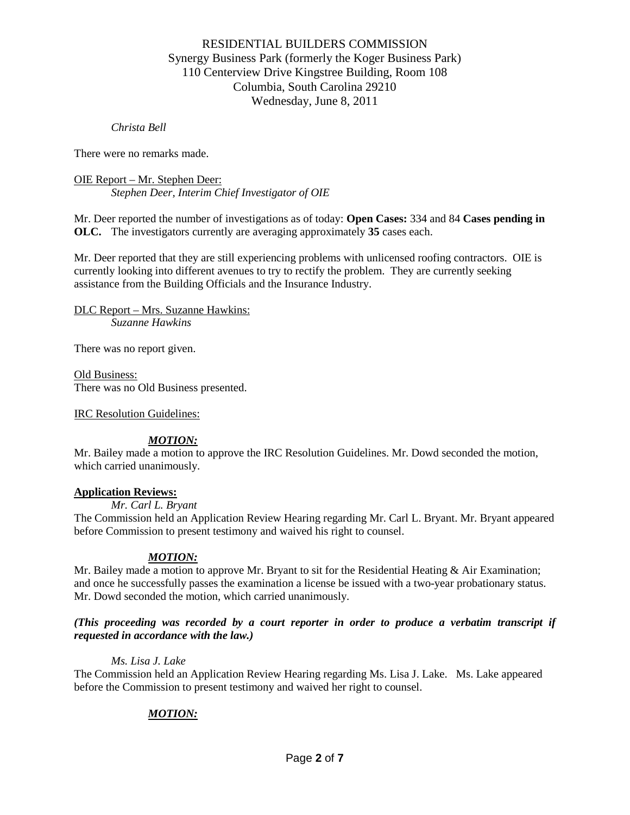### *Christa Bell*

There were no remarks made.

### OIE Report – Mr. Stephen Deer: *Stephen Deer, Interim Chief Investigator of OIE*

Mr. Deer reported the number of investigations as of today: **Open Cases:** 334 and 84 **Cases pending in OLC.** The investigators currently are averaging approximately **35** cases each.

Mr. Deer reported that they are still experiencing problems with unlicensed roofing contractors. OIE is currently looking into different avenues to try to rectify the problem. They are currently seeking assistance from the Building Officials and the Insurance Industry.

DLC Report – Mrs. Suzanne Hawkins: *Suzanne Hawkins*

There was no report given.

Old Business: There was no Old Business presented.

IRC Resolution Guidelines:

### *MOTION:*

Mr. Bailey made a motion to approve the IRC Resolution Guidelines. Mr. Dowd seconded the motion, which carried unanimously.

#### **Application Reviews:**

*Mr. Carl L. Bryant*

The Commission held an Application Review Hearing regarding Mr. Carl L. Bryant. Mr. Bryant appeared before Commission to present testimony and waived his right to counsel.

### *MOTION:*

Mr. Bailey made a motion to approve Mr. Bryant to sit for the Residential Heating  $\&$  Air Examination; and once he successfully passes the examination a license be issued with a two-year probationary status. Mr. Dowd seconded the motion, which carried unanimously.

### *(This proceeding was recorded by a court reporter in order to produce a verbatim transcript if requested in accordance with the law.)*

### *Ms. Lisa J. Lake*

The Commission held an Application Review Hearing regarding Ms. Lisa J. Lake. Ms. Lake appeared before the Commission to present testimony and waived her right to counsel.

### *MOTION:*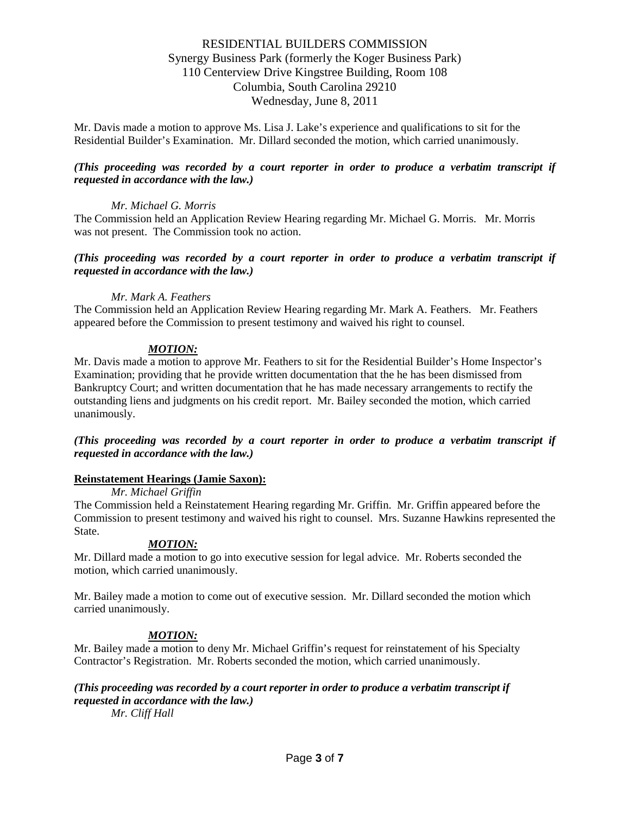Mr. Davis made a motion to approve Ms. Lisa J. Lake's experience and qualifications to sit for the Residential Builder's Examination. Mr. Dillard seconded the motion, which carried unanimously.

### *(This proceeding was recorded by a court reporter in order to produce a verbatim transcript if requested in accordance with the law.)*

### *Mr. Michael G. Morris*

The Commission held an Application Review Hearing regarding Mr. Michael G. Morris. Mr. Morris was not present. The Commission took no action.

### *(This proceeding was recorded by a court reporter in order to produce a verbatim transcript if requested in accordance with the law.)*

### *Mr. Mark A. Feathers*

The Commission held an Application Review Hearing regarding Mr. Mark A. Feathers. Mr. Feathers appeared before the Commission to present testimony and waived his right to counsel.

### *MOTION:*

Mr. Davis made a motion to approve Mr. Feathers to sit for the Residential Builder's Home Inspector's Examination; providing that he provide written documentation that the he has been dismissed from Bankruptcy Court; and written documentation that he has made necessary arrangements to rectify the outstanding liens and judgments on his credit report. Mr. Bailey seconded the motion, which carried unanimously.

### *(This proceeding was recorded by a court reporter in order to produce a verbatim transcript if requested in accordance with the law.)*

### **Reinstatement Hearings (Jamie Saxon):**

*Mr. Michael Griffin*

The Commission held a Reinstatement Hearing regarding Mr. Griffin. Mr. Griffin appeared before the Commission to present testimony and waived his right to counsel. Mrs. Suzanne Hawkins represented the State.

### *MOTION:*

Mr. Dillard made a motion to go into executive session for legal advice. Mr. Roberts seconded the motion, which carried unanimously.

Mr. Bailey made a motion to come out of executive session. Mr. Dillard seconded the motion which carried unanimously.

### *MOTION:*

Mr. Bailey made a motion to deny Mr. Michael Griffin's request for reinstatement of his Specialty Contractor's Registration. Mr. Roberts seconded the motion, which carried unanimously.

#### *(This proceeding was recorded by a court reporter in order to produce a verbatim transcript if requested in accordance with the law.)*

*Mr. Cliff Hall*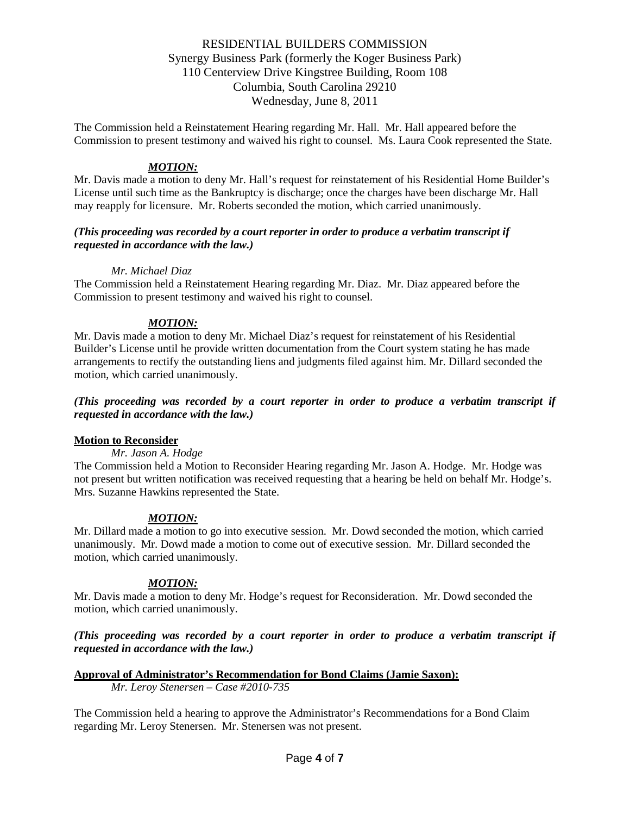The Commission held a Reinstatement Hearing regarding Mr. Hall. Mr. Hall appeared before the Commission to present testimony and waived his right to counsel. Ms. Laura Cook represented the State.

### *MOTION:*

Mr. Davis made a motion to deny Mr. Hall's request for reinstatement of his Residential Home Builder's License until such time as the Bankruptcy is discharge; once the charges have been discharge Mr. Hall may reapply for licensure. Mr. Roberts seconded the motion, which carried unanimously.

### *(This proceeding was recorded by a court reporter in order to produce a verbatim transcript if requested in accordance with the law.)*

### *Mr. Michael Diaz*

The Commission held a Reinstatement Hearing regarding Mr. Diaz. Mr. Diaz appeared before the Commission to present testimony and waived his right to counsel.

### *MOTION:*

Mr. Davis made a motion to deny Mr. Michael Diaz's request for reinstatement of his Residential Builder's License until he provide written documentation from the Court system stating he has made arrangements to rectify the outstanding liens and judgments filed against him. Mr. Dillard seconded the motion, which carried unanimously.

### *(This proceeding was recorded by a court reporter in order to produce a verbatim transcript if requested in accordance with the law.)*

### **Motion to Reconsider**

*Mr. Jason A. Hodge*

The Commission held a Motion to Reconsider Hearing regarding Mr. Jason A. Hodge. Mr. Hodge was not present but written notification was received requesting that a hearing be held on behalf Mr. Hodge's. Mrs. Suzanne Hawkins represented the State.

### *MOTION:*

Mr. Dillard made a motion to go into executive session. Mr. Dowd seconded the motion, which carried unanimously. Mr. Dowd made a motion to come out of executive session. Mr. Dillard seconded the motion, which carried unanimously.

### *MOTION:*

Mr. Davis made a motion to deny Mr. Hodge's request for Reconsideration. Mr. Dowd seconded the motion, which carried unanimously.

### *(This proceeding was recorded by a court reporter in order to produce a verbatim transcript if requested in accordance with the law.)*

### **Approval of Administrator's Recommendation for Bond Claims (Jamie Saxon):**

*Mr. Leroy Stenersen – Case #2010-735*

The Commission held a hearing to approve the Administrator's Recommendations for a Bond Claim regarding Mr. Leroy Stenersen. Mr. Stenersen was not present.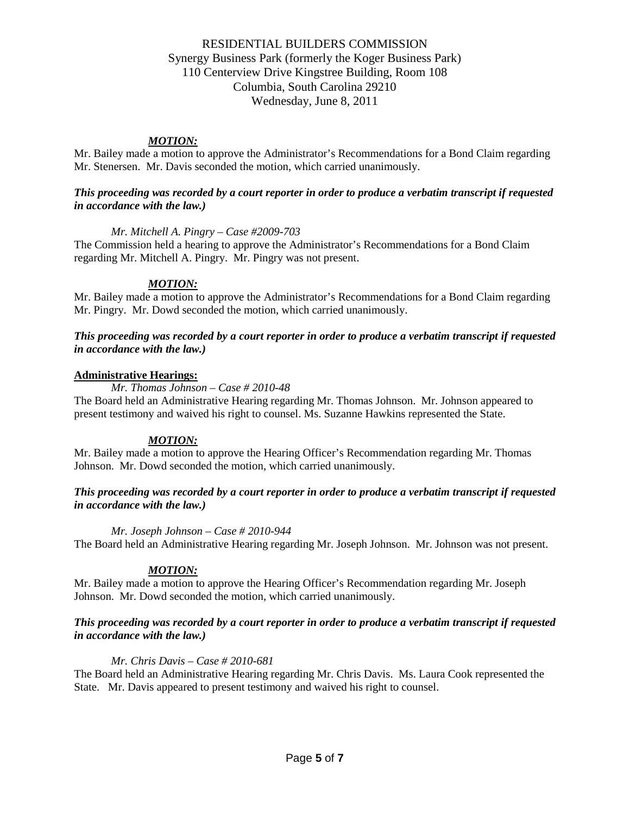### *MOTION:*

Mr. Bailey made a motion to approve the Administrator's Recommendations for a Bond Claim regarding Mr. Stenersen. Mr. Davis seconded the motion, which carried unanimously.

#### *This proceeding was recorded by a court reporter in order to produce a verbatim transcript if requested in accordance with the law.)*

#### *Mr. Mitchell A. Pingry – Case #2009-703*

The Commission held a hearing to approve the Administrator's Recommendations for a Bond Claim regarding Mr. Mitchell A. Pingry. Mr. Pingry was not present.

#### *MOTION:*

Mr. Bailey made a motion to approve the Administrator's Recommendations for a Bond Claim regarding Mr. Pingry. Mr. Dowd seconded the motion, which carried unanimously.

### *This proceeding was recorded by a court reporter in order to produce a verbatim transcript if requested in accordance with the law.)*

#### **Administrative Hearings:**

*Mr. Thomas Johnson – Case # 2010-48*

The Board held an Administrative Hearing regarding Mr. Thomas Johnson. Mr. Johnson appeared to present testimony and waived his right to counsel. Ms. Suzanne Hawkins represented the State.

### *MOTION:*

Mr. Bailey made a motion to approve the Hearing Officer's Recommendation regarding Mr. Thomas Johnson. Mr. Dowd seconded the motion, which carried unanimously.

### *This proceeding was recorded by a court reporter in order to produce a verbatim transcript if requested in accordance with the law.)*

#### *Mr. Joseph Johnson – Case # 2010-944*

The Board held an Administrative Hearing regarding Mr. Joseph Johnson. Mr. Johnson was not present.

### *MOTION:*

Mr. Bailey made a motion to approve the Hearing Officer's Recommendation regarding Mr. Joseph Johnson. Mr. Dowd seconded the motion, which carried unanimously.

### *This proceeding was recorded by a court reporter in order to produce a verbatim transcript if requested in accordance with the law.)*

### *Mr. Chris Davis – Case # 2010-681*

The Board held an Administrative Hearing regarding Mr. Chris Davis. Ms. Laura Cook represented the State. Mr. Davis appeared to present testimony and waived his right to counsel.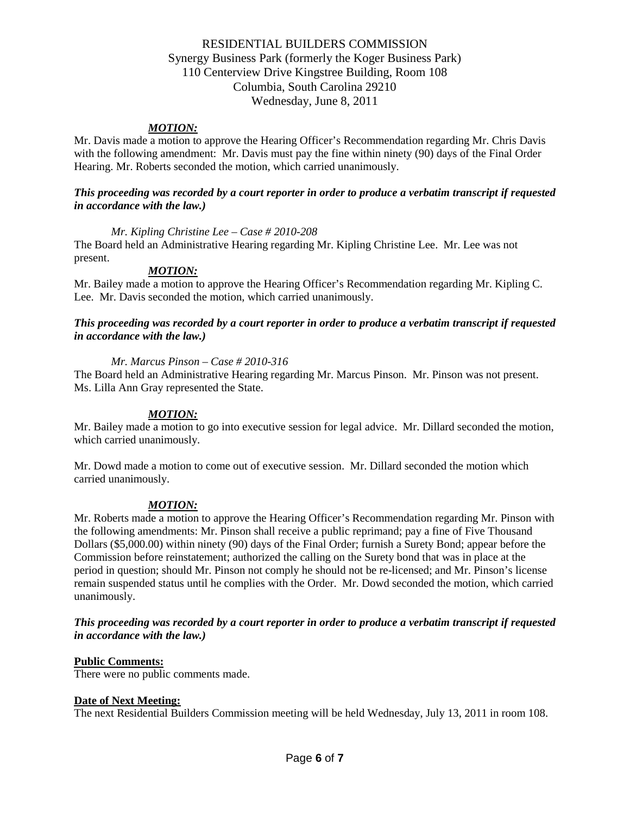### *MOTION:*

Mr. Davis made a motion to approve the Hearing Officer's Recommendation regarding Mr. Chris Davis with the following amendment: Mr. Davis must pay the fine within ninety (90) days of the Final Order Hearing. Mr. Roberts seconded the motion, which carried unanimously.

### *This proceeding was recorded by a court reporter in order to produce a verbatim transcript if requested in accordance with the law.)*

### *Mr. Kipling Christine Lee – Case # 2010-208*

The Board held an Administrative Hearing regarding Mr. Kipling Christine Lee. Mr. Lee was not present.

### *MOTION:*

Mr. Bailey made a motion to approve the Hearing Officer's Recommendation regarding Mr. Kipling C. Lee. Mr. Davis seconded the motion, which carried unanimously.

#### *This proceeding was recorded by a court reporter in order to produce a verbatim transcript if requested in accordance with the law.)*

### *Mr. Marcus Pinson – Case # 2010-316*

The Board held an Administrative Hearing regarding Mr. Marcus Pinson. Mr. Pinson was not present. Ms. Lilla Ann Gray represented the State.

### *MOTION:*

Mr. Bailey made a motion to go into executive session for legal advice. Mr. Dillard seconded the motion, which carried unanimously.

Mr. Dowd made a motion to come out of executive session. Mr. Dillard seconded the motion which carried unanimously.

### *MOTION:*

Mr. Roberts made a motion to approve the Hearing Officer's Recommendation regarding Mr. Pinson with the following amendments: Mr. Pinson shall receive a public reprimand; pay a fine of Five Thousand Dollars (\$5,000.00) within ninety (90) days of the Final Order; furnish a Surety Bond; appear before the Commission before reinstatement; authorized the calling on the Surety bond that was in place at the period in question; should Mr. Pinson not comply he should not be re-licensed; and Mr. Pinson's license remain suspended status until he complies with the Order. Mr. Dowd seconded the motion, which carried unanimously.

### *This proceeding was recorded by a court reporter in order to produce a verbatim transcript if requested in accordance with the law.)*

### **Public Comments:**

There were no public comments made.

### **Date of Next Meeting:**

The next Residential Builders Commission meeting will be held Wednesday, July 13, 2011 in room 108.